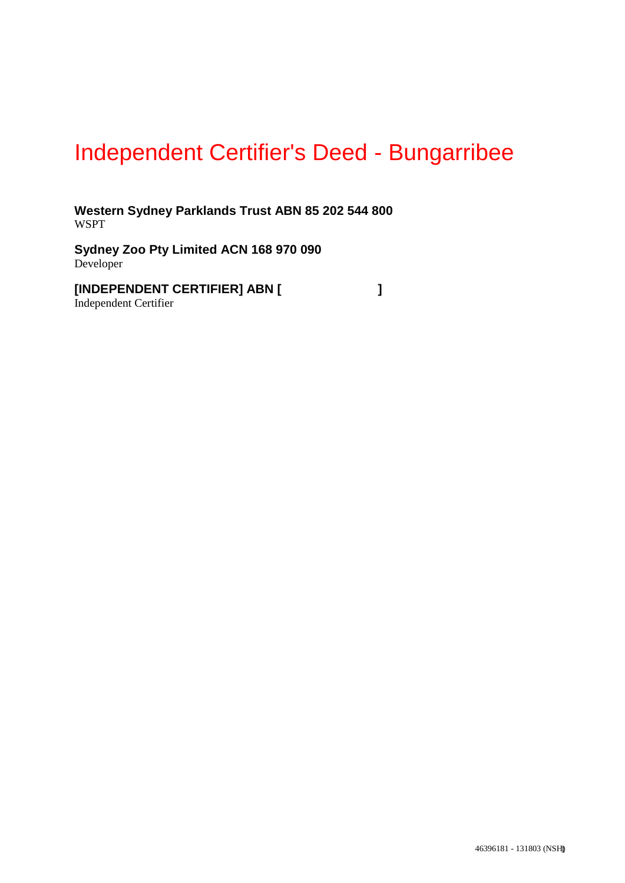# Independent Certifier's Deed - Bungarribee

**Western Sydney Parklands Trust ABN 85 202 544 800** WSPT

**Sydney Zoo Pty Limited ACN 168 970 090** Developer

**[INDEPENDENT CERTIFIER] ABN [ ]** Independent Certifier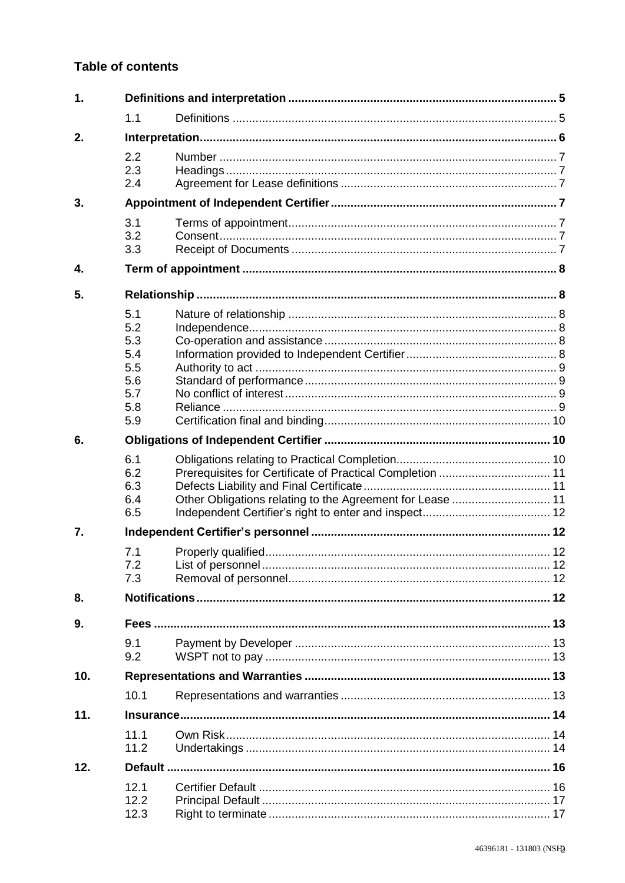## **Table of contents**

| $\mathbf 1$ . |                                                             |  |  |  |  |  |
|---------------|-------------------------------------------------------------|--|--|--|--|--|
|               | 1.1                                                         |  |  |  |  |  |
| 2.            |                                                             |  |  |  |  |  |
|               | 2.2<br>2.3<br>2.4                                           |  |  |  |  |  |
| 3.            |                                                             |  |  |  |  |  |
|               | 3.1<br>3.2<br>3.3                                           |  |  |  |  |  |
| 4.            |                                                             |  |  |  |  |  |
| 5.            |                                                             |  |  |  |  |  |
|               | 5.1<br>5.2<br>5.3<br>5.4<br>5.5<br>5.6<br>5.7<br>5.8<br>5.9 |  |  |  |  |  |
| 6.            |                                                             |  |  |  |  |  |
|               | 6.1<br>6.2<br>6.3<br>6.4<br>6.5                             |  |  |  |  |  |
| 7.            |                                                             |  |  |  |  |  |
|               | 7.1<br>7.2<br>7.3                                           |  |  |  |  |  |
| 8.            |                                                             |  |  |  |  |  |
| 9.            | 9.1<br>9.2                                                  |  |  |  |  |  |
| 10.           |                                                             |  |  |  |  |  |
|               | 10.1                                                        |  |  |  |  |  |
| 11.           |                                                             |  |  |  |  |  |
|               | 11.1<br>11.2                                                |  |  |  |  |  |
| 12.           |                                                             |  |  |  |  |  |
|               | 12.1<br>12.2<br>12.3                                        |  |  |  |  |  |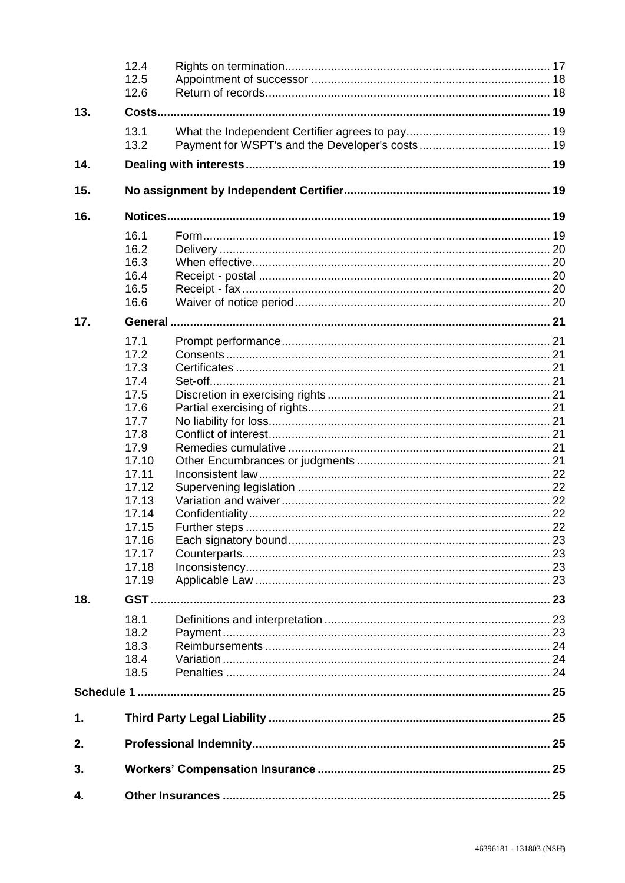|     | 12.4<br>12.5<br>12.6 |  |     |  |  |
|-----|----------------------|--|-----|--|--|
| 13. |                      |  |     |  |  |
|     | 13.1<br>13.2         |  |     |  |  |
| 14. |                      |  |     |  |  |
| 15. |                      |  |     |  |  |
| 16. |                      |  |     |  |  |
|     | 16.1                 |  |     |  |  |
|     | 16.2                 |  |     |  |  |
|     | 16.3                 |  |     |  |  |
|     | 16.4                 |  |     |  |  |
|     | 16.5                 |  |     |  |  |
|     | 16.6                 |  |     |  |  |
| 17. |                      |  |     |  |  |
|     |                      |  |     |  |  |
|     | 17.1                 |  |     |  |  |
|     | 17.2                 |  |     |  |  |
|     | 17.3                 |  |     |  |  |
|     | 17.4                 |  |     |  |  |
|     | 17.5                 |  |     |  |  |
|     | 17.6                 |  |     |  |  |
|     | 17.7                 |  |     |  |  |
|     | 17.8                 |  |     |  |  |
|     | 17.9                 |  |     |  |  |
|     | 17.10                |  |     |  |  |
|     | 17.11                |  |     |  |  |
|     | 17.12                |  |     |  |  |
|     | 17.13                |  |     |  |  |
|     | 17.14                |  |     |  |  |
|     | 17.15                |  | .22 |  |  |
|     | 17.16                |  |     |  |  |
|     | 17.17                |  |     |  |  |
|     | 17.18                |  |     |  |  |
|     | 17.19                |  |     |  |  |
| 18. |                      |  |     |  |  |
|     |                      |  |     |  |  |
|     | 18.1                 |  |     |  |  |
|     | 18.2                 |  |     |  |  |
|     | 18.3                 |  |     |  |  |
|     | 18.4                 |  |     |  |  |
|     | 18.5                 |  |     |  |  |
|     |                      |  |     |  |  |
|     |                      |  |     |  |  |
| 1.  |                      |  |     |  |  |
| 2.  |                      |  |     |  |  |
| 3.  |                      |  |     |  |  |
| 4.  |                      |  |     |  |  |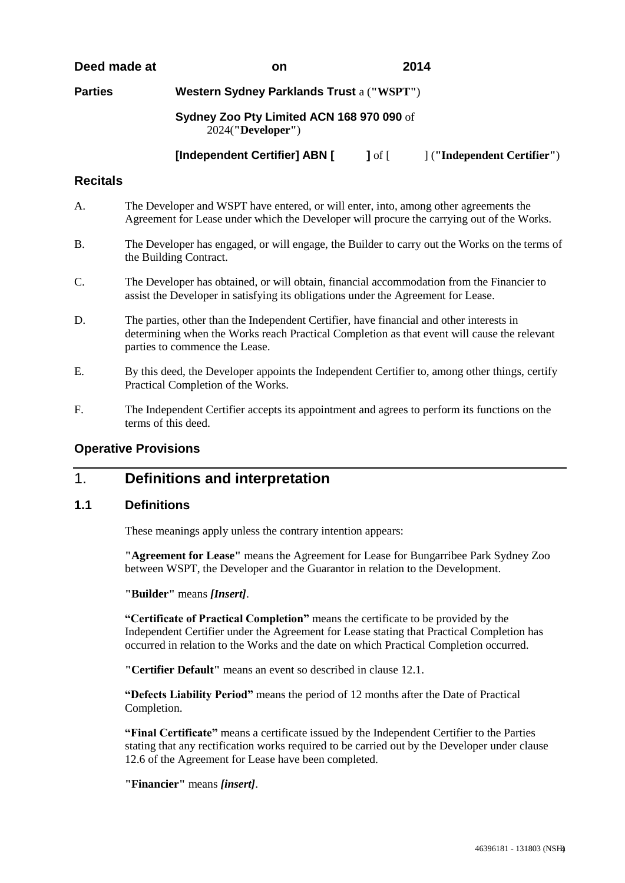#### **Deed made at on 2014**

**Parties Western Sydney Parklands Trust** a (**"WSPT"**)

#### Sydney Zoo Pty Limited ACN 168 970 090 of NSW 2024(**"Developer"**)

**[Independent Certifier] ABN [ ]** of [ ] (**"Independent Certifier"**)

#### **Recitals**

- A. The Developer and WSPT have entered, or will enter, into, among other agreements the Agreement for Lease under which the Developer will procure the carrying out of the Works.
- B. The Developer has engaged, or will engage, the Builder to carry out the Works on the terms of the Building Contract.
- C. The Developer has obtained, or will obtain, financial accommodation from the Financier to assist the Developer in satisfying its obligations under the Agreement for Lease.
- D. The parties, other than the Independent Certifier, have financial and other interests in determining when the Works reach Practical Completion as that event will cause the relevant parties to commence the Lease.
- E. By this deed, the Developer appoints the Independent Certifier to, among other things, certify Practical Completion of the Works.
- F. The Independent Certifier accepts its appointment and agrees to perform its functions on the terms of this deed.

#### **Operative Provisions**

# 1. **Definitions and interpretation**

#### **1.1 Definitions**

These meanings apply unless the contrary intention appears:

**"Agreement for Lease"** means the Agreement for Lease for Bungarribee Park Sydney Zoo between WSPT, the Developer and the Guarantor in relation to the Development.

**"Builder"** means *[Insert]*.

**"Certificate of Practical Completion"** means the certificate to be provided by the Independent Certifier under the Agreement for Lease stating that Practical Completion has occurred in relation to the Works and the date on which Practical Completion occurred.

**"Certifier Default"** means an event so described in clause 12.1.

**"Defects Liability Period"** means the period of 12 months after the Date of Practical Completion.

**"Final Certificate"** means a certificate issued by the Independent Certifier to the Parties stating that any rectification works required to be carried out by the Developer under clause 12.6 of the Agreement for Lease have been completed.

**"Financier"** means *[insert]*.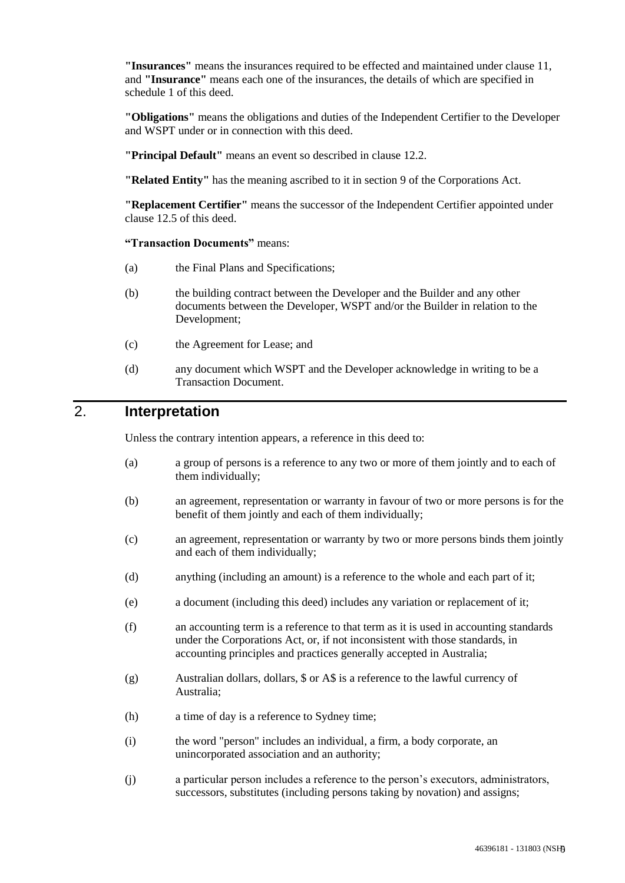**"Insurances"** means the insurances required to be effected and maintained under clause 11, and **"Insurance"** means each one of the insurances, the details of which are specified in schedule 1 of this deed.

**"Obligations"** means the obligations and duties of the Independent Certifier to the Developer and WSPT under or in connection with this deed.

**"Principal Default"** means an event so described in clause 12.2.

**"Related Entity"** has the meaning ascribed to it in section 9 of the Corporations Act.

**"Replacement Certifier"** means the successor of the Independent Certifier appointed under clause 12.5 of this deed.

**"Transaction Documents"** means:

- (a) the Final Plans and Specifications;
- (b) the building contract between the Developer and the Builder and any other documents between the Developer, WSPT and/or the Builder in relation to the Development;
- (c) the Agreement for Lease; and
- (d) any document which WSPT and the Developer acknowledge in writing to be a Transaction Document.

# 2. **Interpretation**

Unless the contrary intention appears, a reference in this deed to:

- (a) a group of persons is a reference to any two or more of them jointly and to each of them individually;
- (b) an agreement, representation or warranty in favour of two or more persons is for the benefit of them jointly and each of them individually;
- (c) an agreement, representation or warranty by two or more persons binds them jointly and each of them individually;
- (d) anything (including an amount) is a reference to the whole and each part of it;
- (e) a document (including this deed) includes any variation or replacement of it;
- (f) an accounting term is a reference to that term as it is used in accounting standards under the Corporations Act, or, if not inconsistent with those standards, in accounting principles and practices generally accepted in Australia;
- (g) Australian dollars, dollars, \$ or A\$ is a reference to the lawful currency of Australia;
- (h) a time of day is a reference to Sydney time;
- (i) the word "person" includes an individual, a firm, a body corporate, an unincorporated association and an authority;
- (j) a particular person includes a reference to the person's executors, administrators, successors, substitutes (including persons taking by novation) and assigns;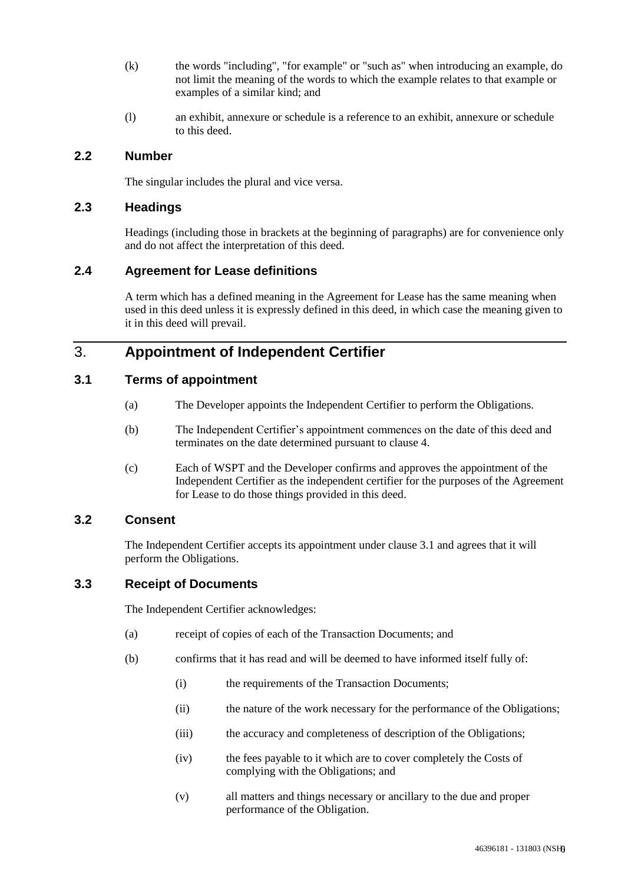- (k) the words "including", "for example" or "such as" when introducing an example, do not limit the meaning of the words to which the example relates to that example or examples of a similar kind; and
- (l) an exhibit, annexure or schedule is a reference to an exhibit, annexure or schedule to this deed.

#### **2.2 Number**

The singular includes the plural and vice versa.

#### **2.3 Headings**

Headings (including those in brackets at the beginning of paragraphs) are for convenience only and do not affect the interpretation of this deed.

#### **2.4 Agreement for Lease definitions**

A term which has a defined meaning in the Agreement for Lease has the same meaning when used in this deed unless it is expressly defined in this deed, in which case the meaning given to it in this deed will prevail.

## 3. **Appointment of Independent Certifier**

#### **3.1 Terms of appointment**

- (a) The Developer appoints the Independent Certifier to perform the Obligations.
- (b) The Independent Certifier's appointment commences on the date of this deed and terminates on the date determined pursuant to clause 4.
- (c) Each of WSPT and the Developer confirms and approves the appointment of the Independent Certifier as the independent certifier for the purposes of the Agreement for Lease to do those things provided in this deed.

#### **3.2 Consent**

The Independent Certifier accepts its appointment under clause 3.1 and agrees that it will perform the Obligations.

#### **3.3 Receipt of Documents**

The Independent Certifier acknowledges:

- (a) receipt of copies of each of the Transaction Documents; and
- (b) confirms that it has read and will be deemed to have informed itself fully of:
	- (i) the requirements of the Transaction Documents;
	- (ii) the nature of the work necessary for the performance of the Obligations;
	- (iii) the accuracy and completeness of description of the Obligations;
	- (iv) the fees payable to it which are to cover completely the Costs of complying with the Obligations; and
	- (v) all matters and things necessary or ancillary to the due and proper performance of the Obligation.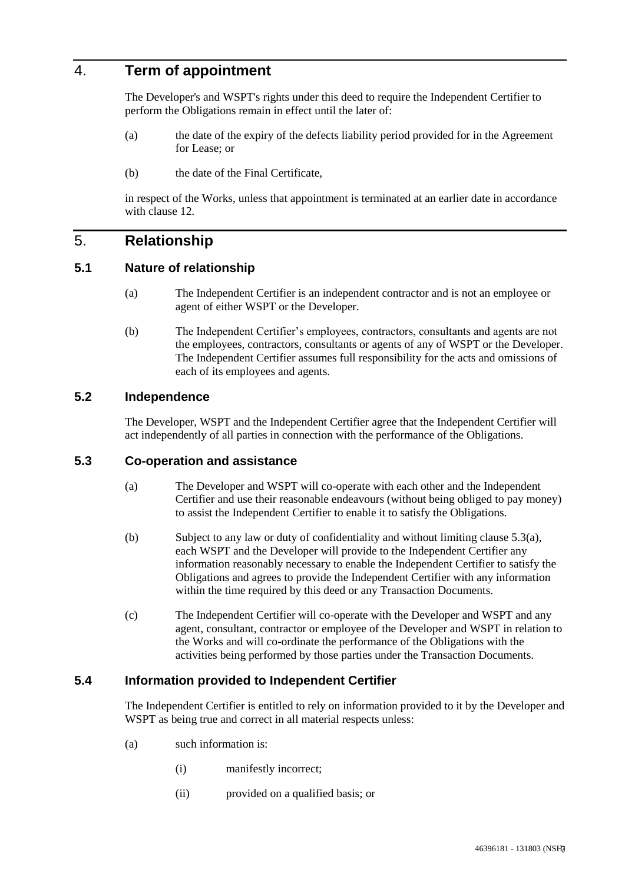## 4. **Term of appointment**

The Developer's and WSPT's rights under this deed to require the Independent Certifier to perform the Obligations remain in effect until the later of:

- (a) the date of the expiry of the defects liability period provided for in the Agreement for Lease; or
- (b) the date of the Final Certificate,

in respect of the Works, unless that appointment is terminated at an earlier date in accordance with clause 12.

## 5. **Relationship**

#### **5.1 Nature of relationship**

- (a) The Independent Certifier is an independent contractor and is not an employee or agent of either WSPT or the Developer.
- (b) The Independent Certifier's employees, contractors, consultants and agents are not the employees, contractors, consultants or agents of any of WSPT or the Developer. The Independent Certifier assumes full responsibility for the acts and omissions of each of its employees and agents.

#### **5.2 Independence**

The Developer, WSPT and the Independent Certifier agree that the Independent Certifier will act independently of all parties in connection with the performance of the Obligations.

#### **5.3 Co-operation and assistance**

- (a) The Developer and WSPT will co-operate with each other and the Independent Certifier and use their reasonable endeavours (without being obliged to pay money) to assist the Independent Certifier to enable it to satisfy the Obligations.
- (b) Subject to any law or duty of confidentiality and without limiting clause 5.3(a), each WSPT and the Developer will provide to the Independent Certifier any information reasonably necessary to enable the Independent Certifier to satisfy the Obligations and agrees to provide the Independent Certifier with any information within the time required by this deed or any Transaction Documents.
- (c) The Independent Certifier will co-operate with the Developer and WSPT and any agent, consultant, contractor or employee of the Developer and WSPT in relation to the Works and will co-ordinate the performance of the Obligations with the activities being performed by those parties under the Transaction Documents.

#### **5.4 Information provided to Independent Certifier**

The Independent Certifier is entitled to rely on information provided to it by the Developer and WSPT as being true and correct in all material respects unless:

- (a) such information is:
	- (i) manifestly incorrect;
	- (ii) provided on a qualified basis; or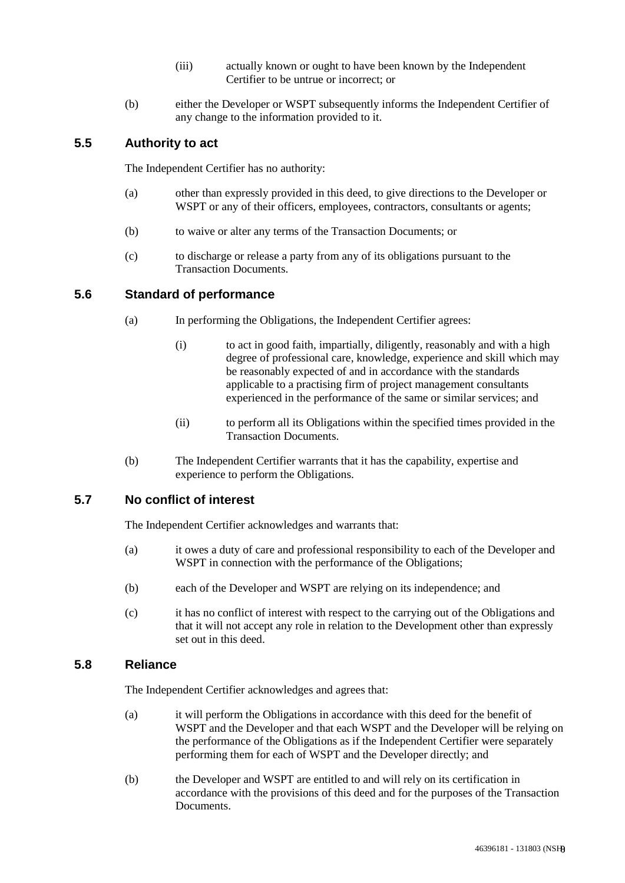- (iii) actually known or ought to have been known by the Independent Certifier to be untrue or incorrect; or
- (b) either the Developer or WSPT subsequently informs the Independent Certifier of any change to the information provided to it.

#### **5.5 Authority to act**

The Independent Certifier has no authority:

- (a) other than expressly provided in this deed, to give directions to the Developer or WSPT or any of their officers, employees, contractors, consultants or agents;
- (b) to waive or alter any terms of the Transaction Documents; or
- (c) to discharge or release a party from any of its obligations pursuant to the Transaction Documents.

#### **5.6 Standard of performance**

- (a) In performing the Obligations, the Independent Certifier agrees:
	- (i) to act in good faith, impartially, diligently, reasonably and with a high degree of professional care, knowledge, experience and skill which may be reasonably expected of and in accordance with the standards applicable to a practising firm of project management consultants experienced in the performance of the same or similar services; and
	- (ii) to perform all its Obligations within the specified times provided in the Transaction Documents.
- (b) The Independent Certifier warrants that it has the capability, expertise and experience to perform the Obligations.

## **5.7 No conflict of interest**

The Independent Certifier acknowledges and warrants that:

- (a) it owes a duty of care and professional responsibility to each of the Developer and WSPT in connection with the performance of the Obligations;
- (b) each of the Developer and WSPT are relying on its independence; and
- (c) it has no conflict of interest with respect to the carrying out of the Obligations and that it will not accept any role in relation to the Development other than expressly set out in this deed.

#### **5.8 Reliance**

The Independent Certifier acknowledges and agrees that:

- (a) it will perform the Obligations in accordance with this deed for the benefit of WSPT and the Developer and that each WSPT and the Developer will be relying on the performance of the Obligations as if the Independent Certifier were separately performing them for each of WSPT and the Developer directly; and
- (b) the Developer and WSPT are entitled to and will rely on its certification in accordance with the provisions of this deed and for the purposes of the Transaction Documents.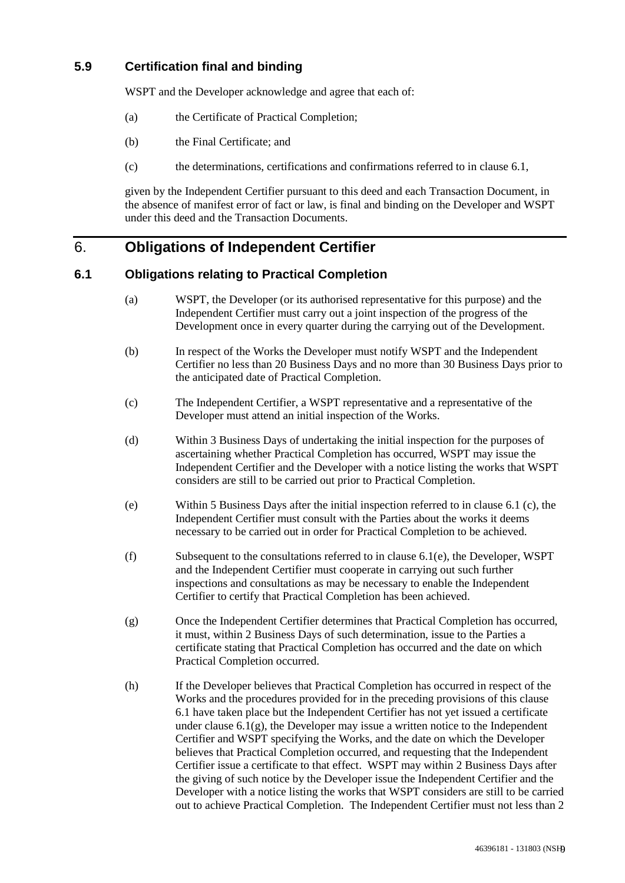## **5.9 Certification final and binding**

WSPT and the Developer acknowledge and agree that each of:

- (a) the Certificate of Practical Completion;
- (b) the Final Certificate; and
- (c) the determinations, certifications and confirmations referred to in clause 6.1,

given by the Independent Certifier pursuant to this deed and each Transaction Document, in the absence of manifest error of fact or law, is final and binding on the Developer and WSPT under this deed and the Transaction Documents.

# 6. **Obligations of Independent Certifier**

#### **6.1 Obligations relating to Practical Completion**

- (a) WSPT, the Developer (or its authorised representative for this purpose) and the Independent Certifier must carry out a joint inspection of the progress of the Development once in every quarter during the carrying out of the Development.
- (b) In respect of the Works the Developer must notify WSPT and the Independent Certifier no less than 20 Business Days and no more than 30 Business Days prior to the anticipated date of Practical Completion.
- (c) The Independent Certifier, a WSPT representative and a representative of the Developer must attend an initial inspection of the Works.
- (d) Within 3 Business Days of undertaking the initial inspection for the purposes of ascertaining whether Practical Completion has occurred, WSPT may issue the Independent Certifier and the Developer with a notice listing the works that WSPT considers are still to be carried out prior to Practical Completion.
- (e) Within 5 Business Days after the initial inspection referred to in clause 6.1 (c), the Independent Certifier must consult with the Parties about the works it deems necessary to be carried out in order for Practical Completion to be achieved.
- (f) Subsequent to the consultations referred to in clause 6.1(e), the Developer, WSPT and the Independent Certifier must cooperate in carrying out such further inspections and consultations as may be necessary to enable the Independent Certifier to certify that Practical Completion has been achieved.
- (g) Once the Independent Certifier determines that Practical Completion has occurred, it must, within 2 Business Days of such determination, issue to the Parties a certificate stating that Practical Completion has occurred and the date on which Practical Completion occurred.
- (h) If the Developer believes that Practical Completion has occurred in respect of the Works and the procedures provided for in the preceding provisions of this clause 6.1 have taken place but the Independent Certifier has not yet issued a certificate under clause  $6.1(g)$ , the Developer may issue a written notice to the Independent Certifier and WSPT specifying the Works, and the date on which the Developer believes that Practical Completion occurred, and requesting that the Independent Certifier issue a certificate to that effect. WSPT may within 2 Business Days after the giving of such notice by the Developer issue the Independent Certifier and the Developer with a notice listing the works that WSPT considers are still to be carried out to achieve Practical Completion. The Independent Certifier must not less than 2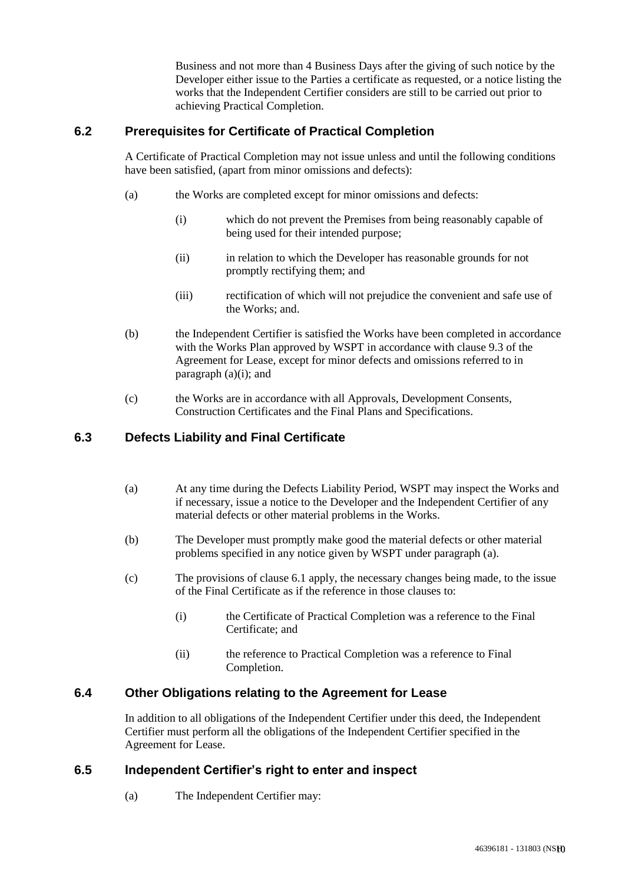Business and not more than 4 Business Days after the giving of such notice by the Developer either issue to the Parties a certificate as requested, or a notice listing the works that the Independent Certifier considers are still to be carried out prior to achieving Practical Completion.

#### **6.2 Prerequisites for Certificate of Practical Completion**

A Certificate of Practical Completion may not issue unless and until the following conditions have been satisfied, (apart from minor omissions and defects):

- (a) the Works are completed except for minor omissions and defects:
	- (i) which do not prevent the Premises from being reasonably capable of being used for their intended purpose;
	- (ii) in relation to which the Developer has reasonable grounds for not promptly rectifying them; and
	- (iii) rectification of which will not prejudice the convenient and safe use of the Works; and.
- (b) the Independent Certifier is satisfied the Works have been completed in accordance with the Works Plan approved by WSPT in accordance with clause 9.3 of the Agreement for Lease, except for minor defects and omissions referred to in paragraph  $(a)(i)$ ; and
- (c) the Works are in accordance with all Approvals, Development Consents, Construction Certificates and the Final Plans and Specifications.

#### **6.3 Defects Liability and Final Certificate**

- (a) At any time during the Defects Liability Period, WSPT may inspect the Works and if necessary, issue a notice to the Developer and the Independent Certifier of any material defects or other material problems in the Works.
- (b) The Developer must promptly make good the material defects or other material problems specified in any notice given by WSPT under paragraph (a).
- (c) The provisions of clause 6.1 apply, the necessary changes being made, to the issue of the Final Certificate as if the reference in those clauses to:
	- (i) the Certificate of Practical Completion was a reference to the Final Certificate; and
	- (ii) the reference to Practical Completion was a reference to Final Completion.

#### **6.4 Other Obligations relating to the Agreement for Lease**

In addition to all obligations of the Independent Certifier under this deed, the Independent Certifier must perform all the obligations of the Independent Certifier specified in the Agreement for Lease.

#### **6.5 Independent Certifier's right to enter and inspect**

(a) The Independent Certifier may: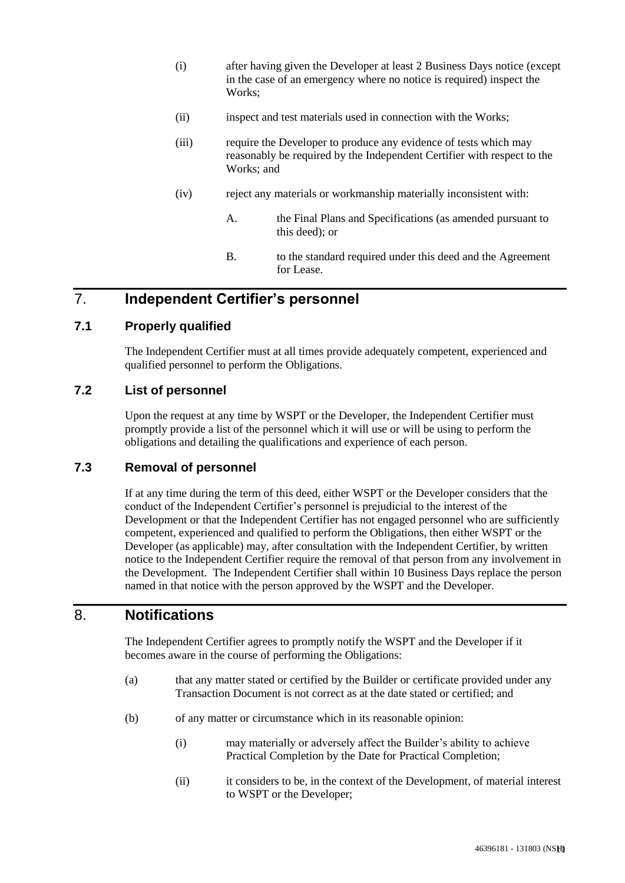- (i) after having given the Developer at least 2 Business Days notice (except in the case of an emergency where no notice is required) inspect the Works:
- (ii) inspect and test materials used in connection with the Works;
- (iii) require the Developer to produce any evidence of tests which may reasonably be required by the Independent Certifier with respect to the Works; and
- (iv) reject any materials or workmanship materially inconsistent with:
	- A. the Final Plans and Specifications (as amended pursuant to this deed); or
	- B. to the standard required under this deed and the Agreement for Lease.

## 7. **Independent Certifier's personnel**

#### **7.1 Properly qualified**

The Independent Certifier must at all times provide adequately competent, experienced and qualified personnel to perform the Obligations.

#### **7.2 List of personnel**

Upon the request at any time by WSPT or the Developer, the Independent Certifier must promptly provide a list of the personnel which it will use or will be using to perform the obligations and detailing the qualifications and experience of each person.

#### **7.3 Removal of personnel**

If at any time during the term of this deed, either WSPT or the Developer considers that the conduct of the Independent Certifier's personnel is prejudicial to the interest of the Development or that the Independent Certifier has not engaged personnel who are sufficiently competent, experienced and qualified to perform the Obligations, then either WSPT or the Developer (as applicable) may, after consultation with the Independent Certifier, by written notice to the Independent Certifier require the removal of that person from any involvement in the Development. The Independent Certifier shall within 10 Business Days replace the person named in that notice with the person approved by the WSPT and the Developer.

# 8. **Notifications**

The Independent Certifier agrees to promptly notify the WSPT and the Developer if it becomes aware in the course of performing the Obligations:

- (a) that any matter stated or certified by the Builder or certificate provided under any Transaction Document is not correct as at the date stated or certified; and
- (b) of any matter or circumstance which in its reasonable opinion:
	- (i) may materially or adversely affect the Builder's ability to achieve Practical Completion by the Date for Practical Completion;
	- (ii) it considers to be, in the context of the Development, of material interest to WSPT or the Developer;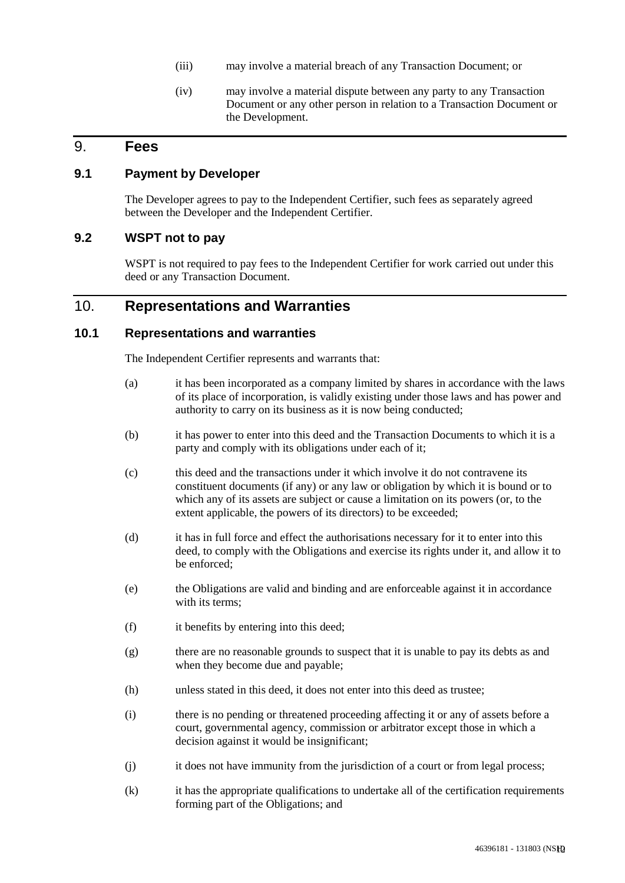- (iii) may involve a material breach of any Transaction Document; or
- (iv) may involve a material dispute between any party to any Transaction Document or any other person in relation to a Transaction Document or the Development.

## 9. **Fees**

#### **9.1 Payment by Developer**

The Developer agrees to pay to the Independent Certifier, such fees as separately agreed between the Developer and the Independent Certifier.

#### **9.2 WSPT not to pay**

WSPT is not required to pay fees to the Independent Certifier for work carried out under this deed or any Transaction Document.

## 10. **Representations and Warranties**

#### **10.1 Representations and warranties**

The Independent Certifier represents and warrants that:

- (a) it has been incorporated as a company limited by shares in accordance with the laws of its place of incorporation, is validly existing under those laws and has power and authority to carry on its business as it is now being conducted;
- (b) it has power to enter into this deed and the Transaction Documents to which it is a party and comply with its obligations under each of it;
- (c) this deed and the transactions under it which involve it do not contravene its constituent documents (if any) or any law or obligation by which it is bound or to which any of its assets are subject or cause a limitation on its powers (or, to the extent applicable, the powers of its directors) to be exceeded;
- (d) it has in full force and effect the authorisations necessary for it to enter into this deed, to comply with the Obligations and exercise its rights under it, and allow it to be enforced;
- (e) the Obligations are valid and binding and are enforceable against it in accordance with its terms;
- (f) it benefits by entering into this deed;
- (g) there are no reasonable grounds to suspect that it is unable to pay its debts as and when they become due and payable;
- (h) unless stated in this deed, it does not enter into this deed as trustee;
- (i) there is no pending or threatened proceeding affecting it or any of assets before a court, governmental agency, commission or arbitrator except those in which a decision against it would be insignificant;
- (j) it does not have immunity from the jurisdiction of a court or from legal process;
- (k) it has the appropriate qualifications to undertake all of the certification requirements forming part of the Obligations; and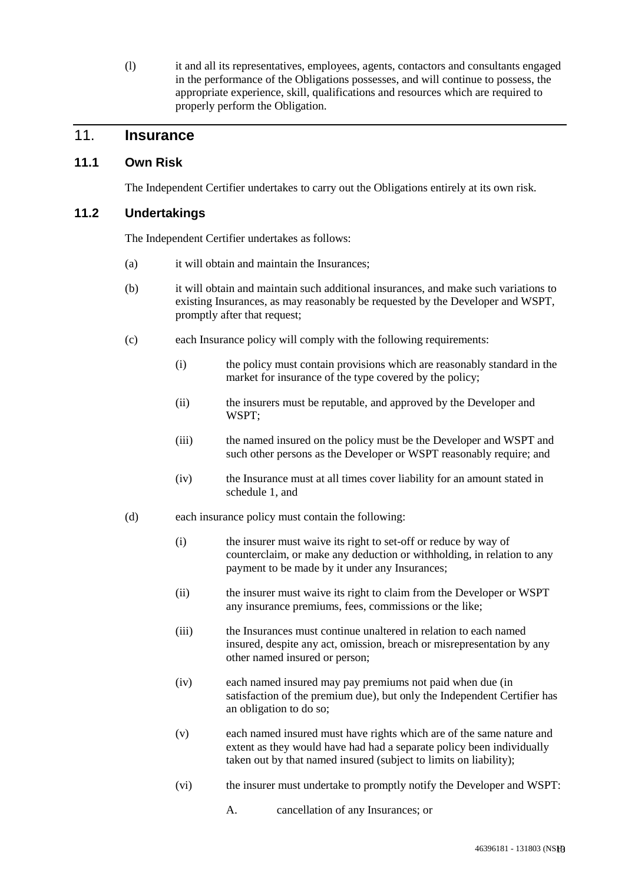(l) it and all its representatives, employees, agents, contactors and consultants engaged in the performance of the Obligations possesses, and will continue to possess, the appropriate experience, skill, qualifications and resources which are required to properly perform the Obligation.

# 11. **Insurance**

#### **11.1 Own Risk**

The Independent Certifier undertakes to carry out the Obligations entirely at its own risk.

#### **11.2 Undertakings**

The Independent Certifier undertakes as follows:

- (a) it will obtain and maintain the Insurances;
- (b) it will obtain and maintain such additional insurances, and make such variations to existing Insurances, as may reasonably be requested by the Developer and WSPT, promptly after that request;
- (c) each Insurance policy will comply with the following requirements:
	- (i) the policy must contain provisions which are reasonably standard in the market for insurance of the type covered by the policy;
	- (ii) the insurers must be reputable, and approved by the Developer and WSPT;
	- (iii) the named insured on the policy must be the Developer and WSPT and such other persons as the Developer or WSPT reasonably require; and
	- (iv) the Insurance must at all times cover liability for an amount stated in schedule 1, and
- (d) each insurance policy must contain the following:
	- (i) the insurer must waive its right to set-off or reduce by way of counterclaim, or make any deduction or withholding, in relation to any payment to be made by it under any Insurances;
	- (ii) the insurer must waive its right to claim from the Developer or WSPT any insurance premiums, fees, commissions or the like;
	- (iii) the Insurances must continue unaltered in relation to each named insured, despite any act, omission, breach or misrepresentation by any other named insured or person;
	- (iv) each named insured may pay premiums not paid when due (in satisfaction of the premium due), but only the Independent Certifier has an obligation to do so;
	- (v) each named insured must have rights which are of the same nature and extent as they would have had had a separate policy been individually taken out by that named insured (subject to limits on liability);
	- (vi) the insurer must undertake to promptly notify the Developer and WSPT:
		- A. cancellation of any Insurances; or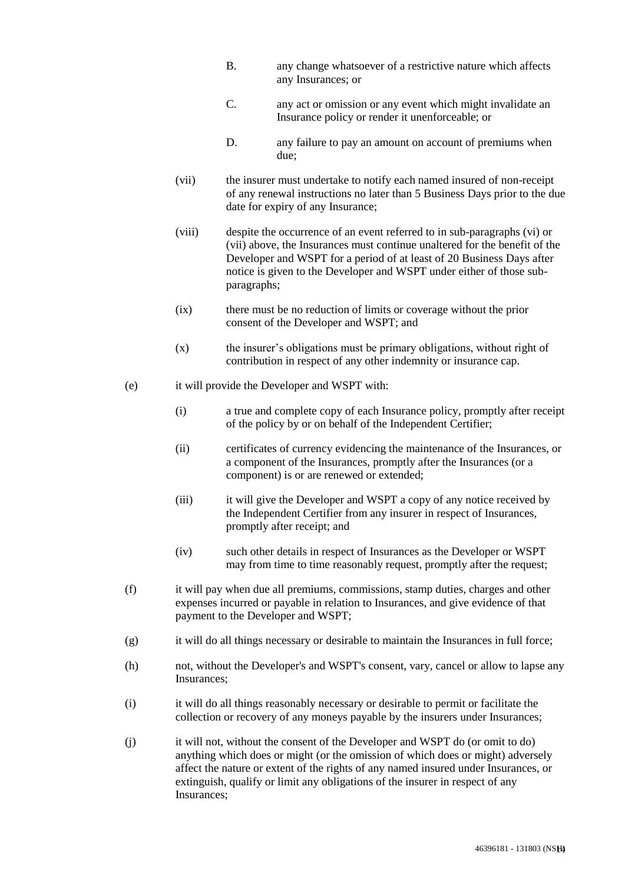- B. any change whatsoever of a restrictive nature which affects any Insurances; or
- C. any act or omission or any event which might invalidate an Insurance policy or render it unenforceable; or
- D. any failure to pay an amount on account of premiums when due;
- (vii) the insurer must undertake to notify each named insured of non-receipt of any renewal instructions no later than 5 Business Days prior to the due date for expiry of any Insurance;
- (viii) despite the occurrence of an event referred to in sub-paragraphs (vi) or (vii) above, the Insurances must continue unaltered for the benefit of the Developer and WSPT for a period of at least of 20 Business Days after notice is given to the Developer and WSPT under either of those subparagraphs;
- (ix) there must be no reduction of limits or coverage without the prior consent of the Developer and WSPT; and
- (x) the insurer's obligations must be primary obligations, without right of contribution in respect of any other indemnity or insurance cap.
- (e) it will provide the Developer and WSPT with:
	- (i) a true and complete copy of each Insurance policy, promptly after receipt of the policy by or on behalf of the Independent Certifier;
	- (ii) certificates of currency evidencing the maintenance of the Insurances, or a component of the Insurances, promptly after the Insurances (or a component) is or are renewed or extended;
	- (iii) it will give the Developer and WSPT a copy of any notice received by the Independent Certifier from any insurer in respect of Insurances, promptly after receipt; and
	- (iv) such other details in respect of Insurances as the Developer or WSPT may from time to time reasonably request, promptly after the request;
- (f) it will pay when due all premiums, commissions, stamp duties, charges and other expenses incurred or payable in relation to Insurances, and give evidence of that payment to the Developer and WSPT;
- $(g)$  it will do all things necessary or desirable to maintain the Insurances in full force;
- (h) not, without the Developer's and WSPT's consent, vary, cancel or allow to lapse any Insurances;
- (i) it will do all things reasonably necessary or desirable to permit or facilitate the collection or recovery of any moneys payable by the insurers under Insurances;
- (j) it will not, without the consent of the Developer and WSPT do (or omit to do) anything which does or might (or the omission of which does or might) adversely affect the nature or extent of the rights of any named insured under Insurances, or extinguish, qualify or limit any obligations of the insurer in respect of any Insurances;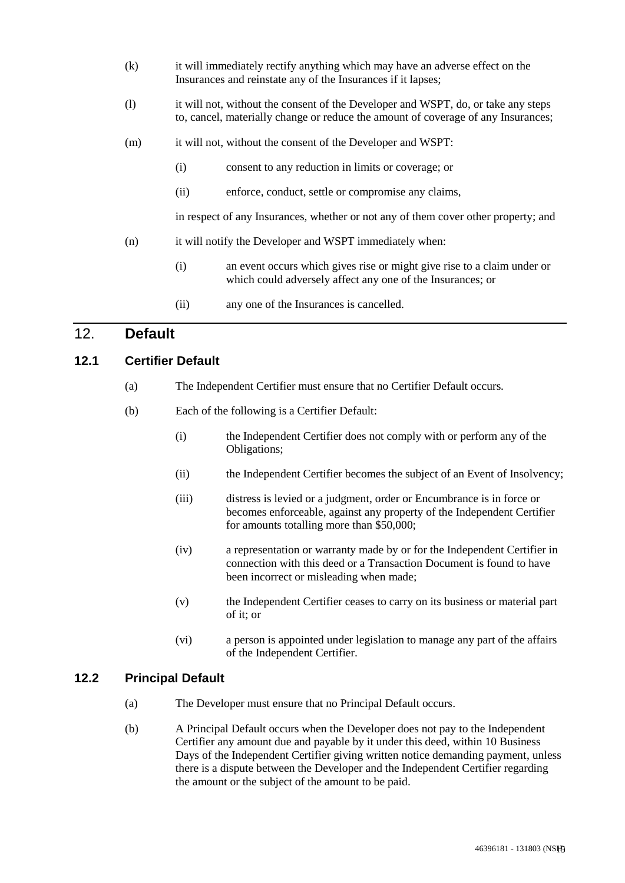- (k) it will immediately rectify anything which may have an adverse effect on the Insurances and reinstate any of the Insurances if it lapses;
- (l) it will not, without the consent of the Developer and WSPT, do, or take any steps to, cancel, materially change or reduce the amount of coverage of any Insurances;
- (m) it will not, without the consent of the Developer and WSPT:
	- (i) consent to any reduction in limits or coverage; or
	- (ii) enforce, conduct, settle or compromise any claims,

in respect of any Insurances, whether or not any of them cover other property; and

- (n) it will notify the Developer and WSPT immediately when:
	- (i) an event occurs which gives rise or might give rise to a claim under or which could adversely affect any one of the Insurances; or
	- (ii) any one of the Insurances is cancelled.

## 12. **Default**

#### **12.1 Certifier Default**

- (a) The Independent Certifier must ensure that no Certifier Default occurs.
- (b) Each of the following is a Certifier Default:
	- (i) the Independent Certifier does not comply with or perform any of the Obligations;
	- (ii) the Independent Certifier becomes the subject of an Event of Insolvency;
	- (iii) distress is levied or a judgment, order or Encumbrance is in force or becomes enforceable, against any property of the Independent Certifier for amounts totalling more than \$50,000;
	- (iv) a representation or warranty made by or for the Independent Certifier in connection with this deed or a Transaction Document is found to have been incorrect or misleading when made;
	- (v) the Independent Certifier ceases to carry on its business or material part of it; or
	- (vi) a person is appointed under legislation to manage any part of the affairs of the Independent Certifier.

#### **12.2 Principal Default**

- (a) The Developer must ensure that no Principal Default occurs.
- (b) A Principal Default occurs when the Developer does not pay to the Independent Certifier any amount due and payable by it under this deed, within 10 Business Days of the Independent Certifier giving written notice demanding payment, unless there is a dispute between the Developer and the Independent Certifier regarding the amount or the subject of the amount to be paid.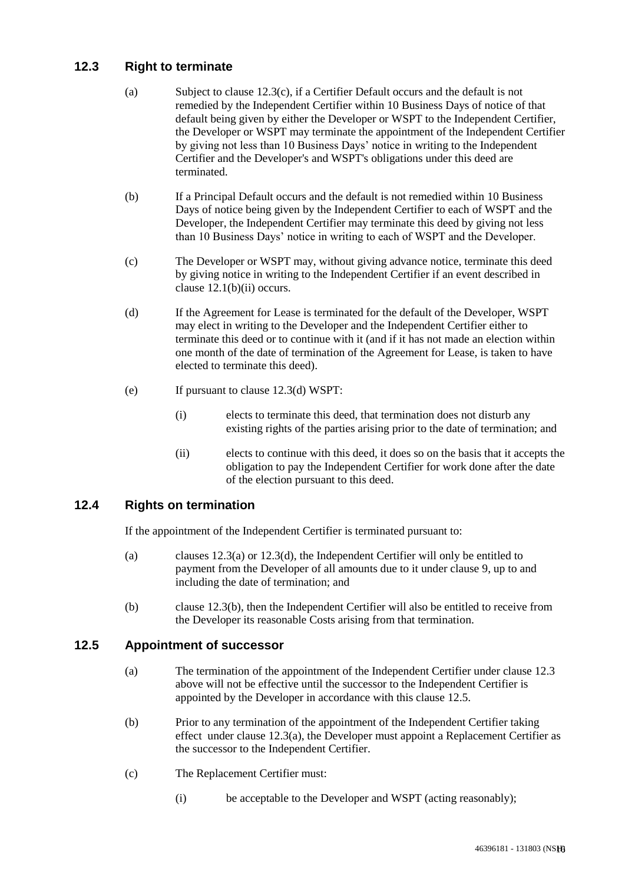## **12.3 Right to terminate**

- (a) Subject to clause 12.3(c), if a Certifier Default occurs and the default is not remedied by the Independent Certifier within 10 Business Days of notice of that default being given by either the Developer or WSPT to the Independent Certifier, the Developer or WSPT may terminate the appointment of the Independent Certifier by giving not less than 10 Business Days' notice in writing to the Independent Certifier and the Developer's and WSPT's obligations under this deed are terminated.
- (b) If a Principal Default occurs and the default is not remedied within 10 Business Days of notice being given by the Independent Certifier to each of WSPT and the Developer, the Independent Certifier may terminate this deed by giving not less than 10 Business Days' notice in writing to each of WSPT and the Developer.
- (c) The Developer or WSPT may, without giving advance notice, terminate this deed by giving notice in writing to the Independent Certifier if an event described in clause  $12.1(b)(ii)$  occurs.
- (d) If the Agreement for Lease is terminated for the default of the Developer, WSPT may elect in writing to the Developer and the Independent Certifier either to terminate this deed or to continue with it (and if it has not made an election within one month of the date of termination of the Agreement for Lease, is taken to have elected to terminate this deed).
- (e) If pursuant to clause 12.3(d) WSPT:
	- (i) elects to terminate this deed, that termination does not disturb any existing rights of the parties arising prior to the date of termination; and
	- (ii) elects to continue with this deed, it does so on the basis that it accepts the obligation to pay the Independent Certifier for work done after the date of the election pursuant to this deed.

## **12.4 Rights on termination**

If the appointment of the Independent Certifier is terminated pursuant to:

- (a) clauses 12.3(a) or 12.3(d), the Independent Certifier will only be entitled to payment from the Developer of all amounts due to it under clause 9, up to and including the date of termination; and
- (b) clause 12.3(b), then the Independent Certifier will also be entitled to receive from the Developer its reasonable Costs arising from that termination.

#### **12.5 Appointment of successor**

- (a) The termination of the appointment of the Independent Certifier under clause 12.3 above will not be effective until the successor to the Independent Certifier is appointed by the Developer in accordance with this clause 12.5.
- (b) Prior to any termination of the appointment of the Independent Certifier taking effect under clause  $12.3(a)$ , the Developer must appoint a Replacement Certifier as the successor to the Independent Certifier.
- (c) The Replacement Certifier must:
	- (i) be acceptable to the Developer and WSPT (acting reasonably);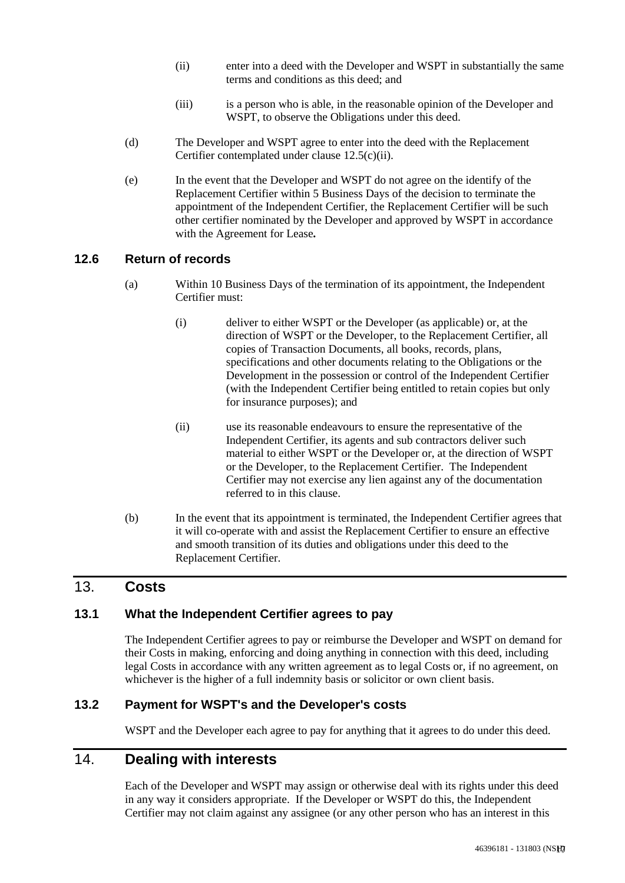- (ii) enter into a deed with the Developer and WSPT in substantially the same terms and conditions as this deed; and
- (iii) is a person who is able, in the reasonable opinion of the Developer and WSPT, to observe the Obligations under this deed.
- (d) The Developer and WSPT agree to enter into the deed with the Replacement Certifier contemplated under clause 12.5(c)(ii).
- (e) In the event that the Developer and WSPT do not agree on the identify of the Replacement Certifier within 5 Business Days of the decision to terminate the appointment of the Independent Certifier, the Replacement Certifier will be such other certifier nominated by the Developer and approved by WSPT in accordance with the Agreement for Lease*.*

#### **12.6 Return of records**

- (a) Within 10 Business Days of the termination of its appointment, the Independent Certifier must:
	- (i) deliver to either WSPT or the Developer (as applicable) or, at the direction of WSPT or the Developer, to the Replacement Certifier, all copies of Transaction Documents, all books, records, plans, specifications and other documents relating to the Obligations or the Development in the possession or control of the Independent Certifier (with the Independent Certifier being entitled to retain copies but only for insurance purposes); and
	- (ii) use its reasonable endeavours to ensure the representative of the Independent Certifier, its agents and sub contractors deliver such material to either WSPT or the Developer or, at the direction of WSPT or the Developer, to the Replacement Certifier. The Independent Certifier may not exercise any lien against any of the documentation referred to in this clause.
- (b) In the event that its appointment is terminated, the Independent Certifier agrees that it will co-operate with and assist the Replacement Certifier to ensure an effective and smooth transition of its duties and obligations under this deed to the Replacement Certifier.

## 13. **Costs**

#### **13.1 What the Independent Certifier agrees to pay**

The Independent Certifier agrees to pay or reimburse the Developer and WSPT on demand for their Costs in making, enforcing and doing anything in connection with this deed, including legal Costs in accordance with any written agreement as to legal Costs or, if no agreement, on whichever is the higher of a full indemnity basis or solicitor or own client basis.

#### **13.2 Payment for WSPT's and the Developer's costs**

WSPT and the Developer each agree to pay for anything that it agrees to do under this deed.

## 14. **Dealing with interests**

Each of the Developer and WSPT may assign or otherwise deal with its rights under this deed in any way it considers appropriate. If the Developer or WSPT do this, the Independent Certifier may not claim against any assignee (or any other person who has an interest in this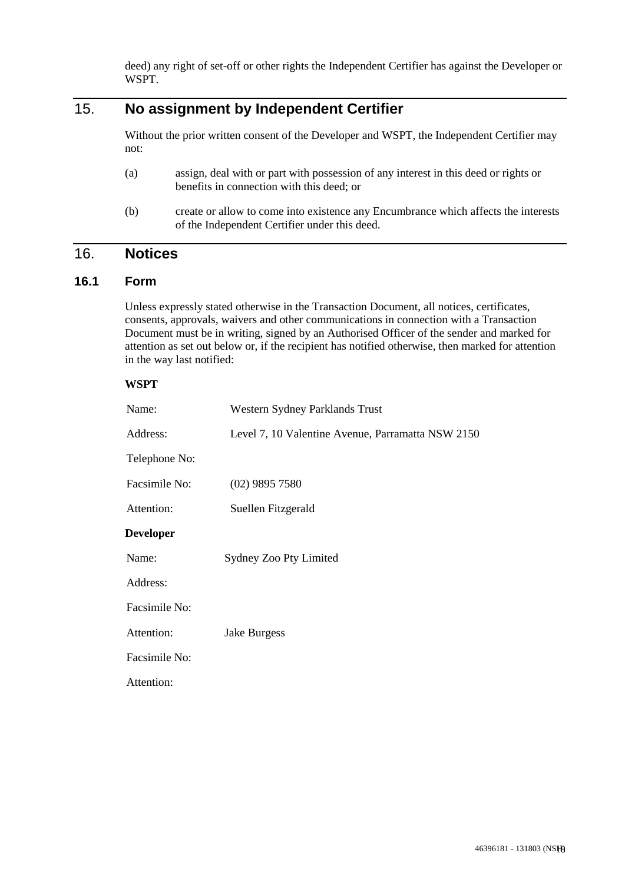deed) any right of set-off or other rights the Independent Certifier has against the Developer or WSPT.

# 15. **No assignment by Independent Certifier**

Without the prior written consent of the Developer and WSPT, the Independent Certifier may not:

- (a) assign, deal with or part with possession of any interest in this deed or rights or benefits in connection with this deed; or
- (b) create or allow to come into existence any Encumbrance which affects the interests of the Independent Certifier under this deed.

## 16. **Notices**

#### **16.1 Form**

Unless expressly stated otherwise in the Transaction Document, all notices, certificates, consents, approvals, waivers and other communications in connection with a Transaction Document must be in writing, signed by an Authorised Officer of the sender and marked for attention as set out below or, if the recipient has notified otherwise, then marked for attention in the way last notified:

| <b>WSPT</b>      |                                                   |  |  |  |
|------------------|---------------------------------------------------|--|--|--|
| Name:            | Western Sydney Parklands Trust                    |  |  |  |
| Address:         | Level 7, 10 Valentine Avenue, Parramatta NSW 2150 |  |  |  |
| Telephone No:    |                                                   |  |  |  |
| Facsimile No:    | $(02)$ 9895 7580                                  |  |  |  |
| Attention:       | Suellen Fitzgerald                                |  |  |  |
| <b>Developer</b> |                                                   |  |  |  |
| Name:            | Sydney Zoo Pty Limited                            |  |  |  |
| Address:         |                                                   |  |  |  |
| Facsimile No:    |                                                   |  |  |  |
| Attention:       | Jake Burgess                                      |  |  |  |
| Facsimile No:    |                                                   |  |  |  |
| Attention:       |                                                   |  |  |  |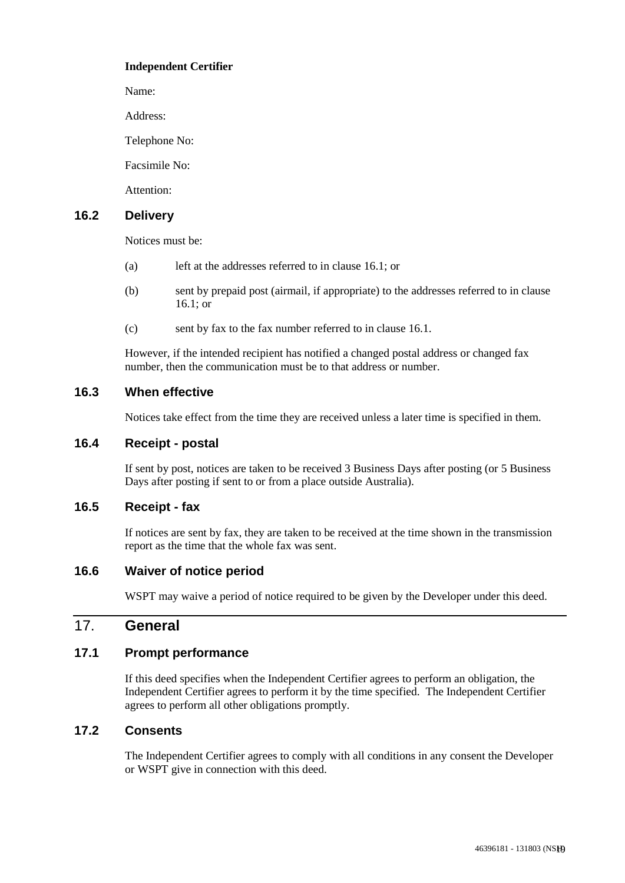#### **Independent Certifier**

Name:

Address:

Telephone No:

Facsimile No:

Attention:

#### **16.2 Delivery**

Notices must be:

- (a) left at the addresses referred to in clause 16.1; or
- (b) sent by prepaid post (airmail, if appropriate) to the addresses referred to in clause 16.1; or
- (c) sent by fax to the fax number referred to in clause 16.1.

However, if the intended recipient has notified a changed postal address or changed fax number, then the communication must be to that address or number.

#### **16.3 When effective**

Notices take effect from the time they are received unless a later time is specified in them.

## **16.4 Receipt - postal**

If sent by post, notices are taken to be received 3 Business Days after posting (or 5 Business Days after posting if sent to or from a place outside Australia).

#### **16.5 Receipt - fax**

If notices are sent by fax, they are taken to be received at the time shown in the transmission report as the time that the whole fax was sent.

#### **16.6 Waiver of notice period**

WSPT may waive a period of notice required to be given by the Developer under this deed.

## 17. **General**

#### **17.1 Prompt performance**

If this deed specifies when the Independent Certifier agrees to perform an obligation, the Independent Certifier agrees to perform it by the time specified. The Independent Certifier agrees to perform all other obligations promptly.

#### **17.2 Consents**

The Independent Certifier agrees to comply with all conditions in any consent the Developer or WSPT give in connection with this deed.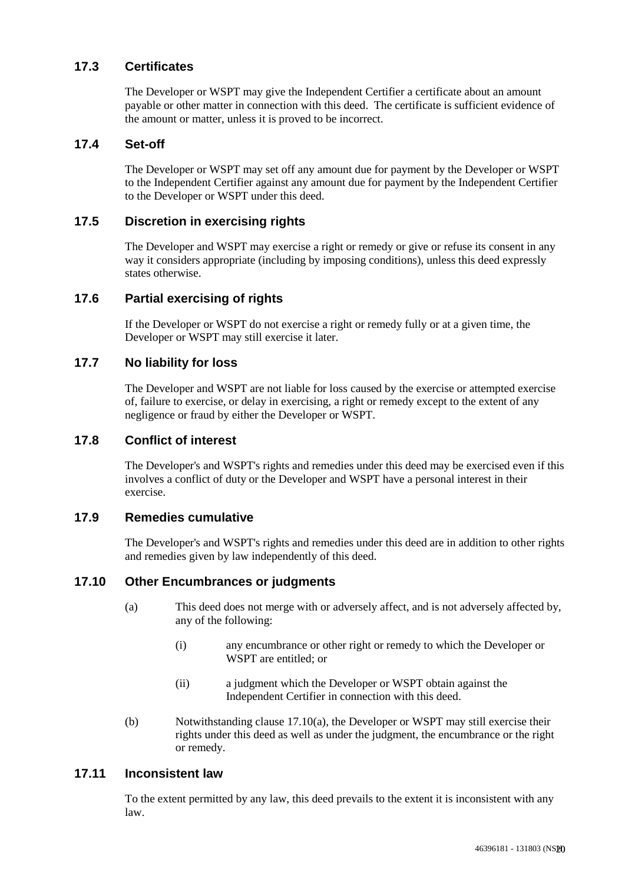#### **17.3 Certificates**

The Developer or WSPT may give the Independent Certifier a certificate about an amount payable or other matter in connection with this deed. The certificate is sufficient evidence of the amount or matter, unless it is proved to be incorrect.

#### **17.4 Set-off**

The Developer or WSPT may set off any amount due for payment by the Developer or WSPT to the Independent Certifier against any amount due for payment by the Independent Certifier to the Developer or WSPT under this deed.

#### **17.5 Discretion in exercising rights**

The Developer and WSPT may exercise a right or remedy or give or refuse its consent in any way it considers appropriate (including by imposing conditions), unless this deed expressly states otherwise.

#### **17.6 Partial exercising of rights**

If the Developer or WSPT do not exercise a right or remedy fully or at a given time, the Developer or WSPT may still exercise it later.

#### **17.7 No liability for loss**

The Developer and WSPT are not liable for loss caused by the exercise or attempted exercise of, failure to exercise, or delay in exercising, a right or remedy except to the extent of any negligence or fraud by either the Developer or WSPT.

#### **17.8 Conflict of interest**

The Developer's and WSPT's rights and remedies under this deed may be exercised even if this involves a conflict of duty or the Developer and WSPT have a personal interest in their exercise.

#### **17.9 Remedies cumulative**

The Developer's and WSPT's rights and remedies under this deed are in addition to other rights and remedies given by law independently of this deed.

#### **17.10 Other Encumbrances or judgments**

- (a) This deed does not merge with or adversely affect, and is not adversely affected by, any of the following:
	- (i) any encumbrance or other right or remedy to which the Developer or WSPT are entitled; or
	- (ii) a judgment which the Developer or WSPT obtain against the Independent Certifier in connection with this deed.
- (b) Notwithstanding clause 17.10(a), the Developer or WSPT may still exercise their rights under this deed as well as under the judgment, the encumbrance or the right or remedy.

#### **17.11 Inconsistent law**

To the extent permitted by any law, this deed prevails to the extent it is inconsistent with any law.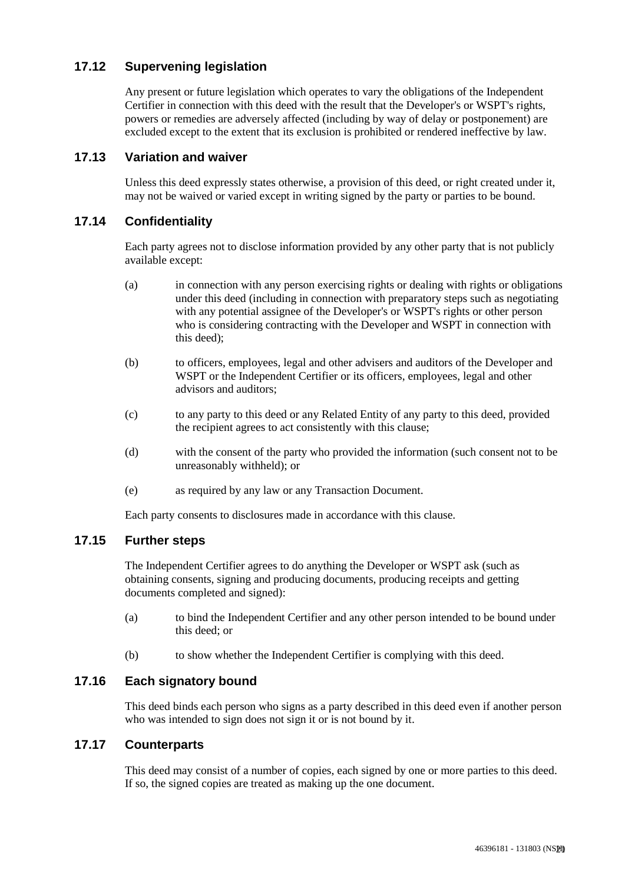## **17.12 Supervening legislation**

Any present or future legislation which operates to vary the obligations of the Independent Certifier in connection with this deed with the result that the Developer's or WSPT's rights, powers or remedies are adversely affected (including by way of delay or postponement) are excluded except to the extent that its exclusion is prohibited or rendered ineffective by law.

#### **17.13 Variation and waiver**

Unless this deed expressly states otherwise, a provision of this deed, or right created under it, may not be waived or varied except in writing signed by the party or parties to be bound.

#### **17.14 Confidentiality**

Each party agrees not to disclose information provided by any other party that is not publicly available except:

- (a) in connection with any person exercising rights or dealing with rights or obligations under this deed (including in connection with preparatory steps such as negotiating with any potential assignee of the Developer's or WSPT's rights or other person who is considering contracting with the Developer and WSPT in connection with this deed);
- (b) to officers, employees, legal and other advisers and auditors of the Developer and WSPT or the Independent Certifier or its officers, employees, legal and other advisors and auditors;
- (c) to any party to this deed or any Related Entity of any party to this deed, provided the recipient agrees to act consistently with this clause;
- (d) with the consent of the party who provided the information (such consent not to be unreasonably withheld); or
- (e) as required by any law or any Transaction Document.

Each party consents to disclosures made in accordance with this clause.

#### **17.15 Further steps**

The Independent Certifier agrees to do anything the Developer or WSPT ask (such as obtaining consents, signing and producing documents, producing receipts and getting documents completed and signed):

- (a) to bind the Independent Certifier and any other person intended to be bound under this deed; or
- (b) to show whether the Independent Certifier is complying with this deed.

#### **17.16 Each signatory bound**

This deed binds each person who signs as a party described in this deed even if another person who was intended to sign does not sign it or is not bound by it.

#### **17.17 Counterparts**

This deed may consist of a number of copies, each signed by one or more parties to this deed. If so, the signed copies are treated as making up the one document.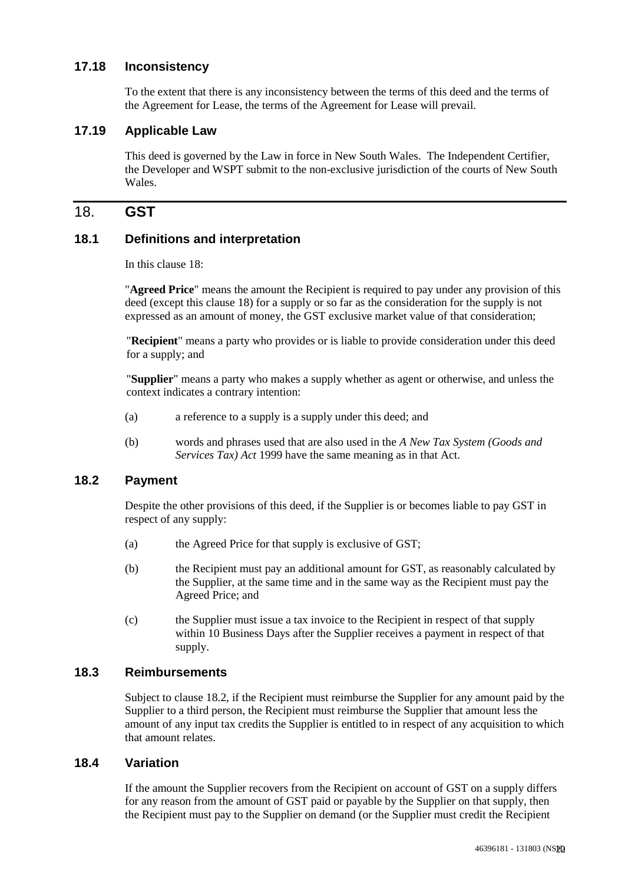#### **17.18 Inconsistency**

To the extent that there is any inconsistency between the terms of this deed and the terms of the Agreement for Lease, the terms of the Agreement for Lease will prevail.

#### **17.19 Applicable Law**

This deed is governed by the Law in force in New South Wales. The Independent Certifier, the Developer and WSPT submit to the non-exclusive jurisdiction of the courts of New South Wales.

## 18. **GST**

#### **18.1 Definitions and interpretation**

In this clause 18:

"**Agreed Price**" means the amount the Recipient is required to pay under any provision of this deed (except this clause 18) for a supply or so far as the consideration for the supply is not expressed as an amount of money, the GST exclusive market value of that consideration;

"**Recipient**" means a party who provides or is liable to provide consideration under this deed for a supply; and

"**Supplier**" means a party who makes a supply whether as agent or otherwise, and unless the context indicates a contrary intention:

- (a) a reference to a supply is a supply under this deed; and
- (b) words and phrases used that are also used in the *A New Tax System (Goods and Services Tax) Act* 1999 have the same meaning as in that Act.

#### **18.2 Payment**

Despite the other provisions of this deed, if the Supplier is or becomes liable to pay GST in respect of any supply:

- (a) the Agreed Price for that supply is exclusive of GST;
- (b) the Recipient must pay an additional amount for GST, as reasonably calculated by the Supplier, at the same time and in the same way as the Recipient must pay the Agreed Price; and
- (c) the Supplier must issue a tax invoice to the Recipient in respect of that supply within 10 Business Days after the Supplier receives a payment in respect of that supply.

#### **18.3 Reimbursements**

Subject to clause 18.2, if the Recipient must reimburse the Supplier for any amount paid by the Supplier to a third person, the Recipient must reimburse the Supplier that amount less the amount of any input tax credits the Supplier is entitled to in respect of any acquisition to which that amount relates.

#### **18.4 Variation**

If the amount the Supplier recovers from the Recipient on account of GST on a supply differs for any reason from the amount of GST paid or payable by the Supplier on that supply, then the Recipient must pay to the Supplier on demand (or the Supplier must credit the Recipient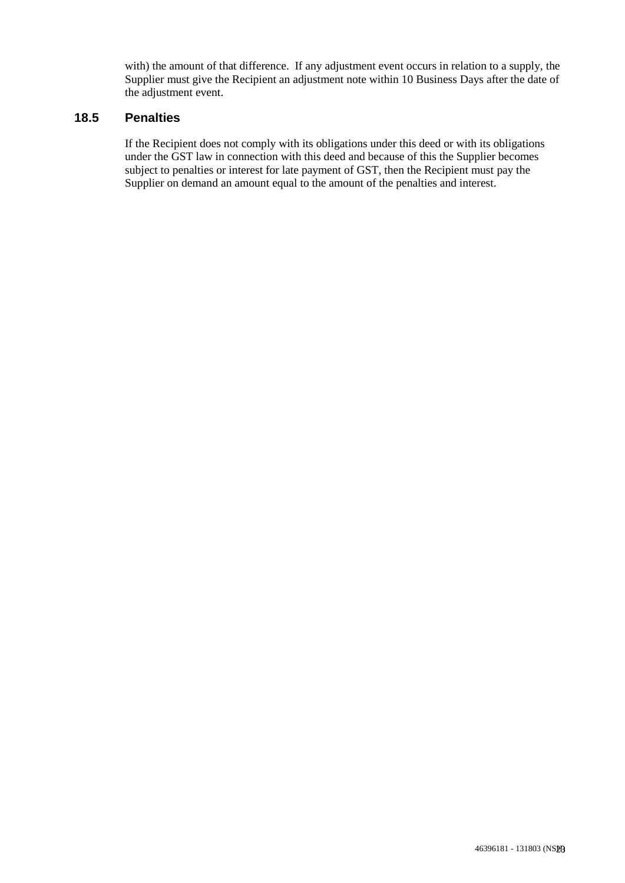with) the amount of that difference. If any adjustment event occurs in relation to a supply, the Supplier must give the Recipient an adjustment note within 10 Business Days after the date of the adjustment event.

#### **18.5 Penalties**

If the Recipient does not comply with its obligations under this deed or with its obligations under the GST law in connection with this deed and because of this the Supplier becomes subject to penalties or interest for late payment of GST, then the Recipient must pay the Supplier on demand an amount equal to the amount of the penalties and interest.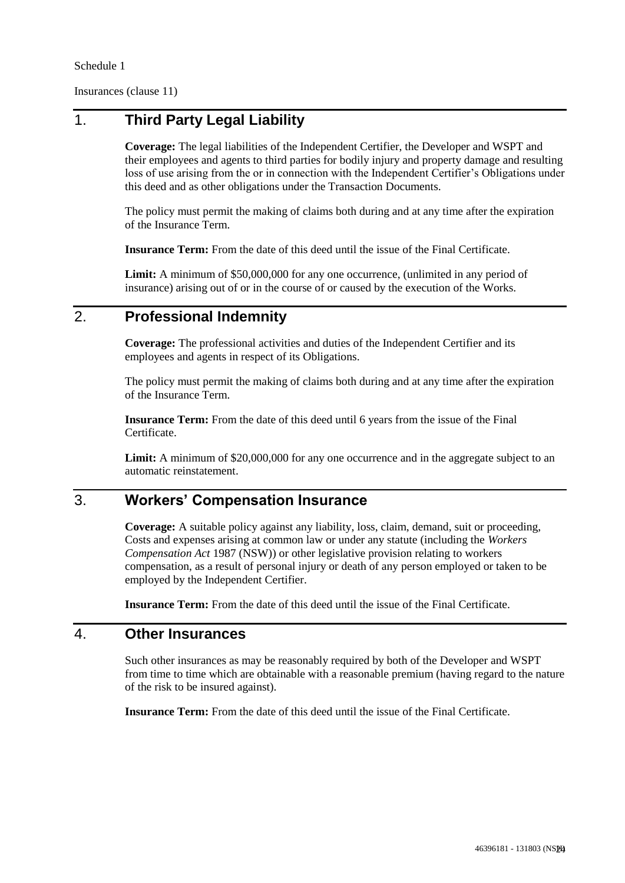Schedule 1

Insurances (clause 11)

# 1. **Third Party Legal Liability**

**Coverage:** The legal liabilities of the Independent Certifier, the Developer and WSPT and their employees and agents to third parties for bodily injury and property damage and resulting loss of use arising from the or in connection with the Independent Certifier's Obligations under this deed and as other obligations under the Transaction Documents.

The policy must permit the making of claims both during and at any time after the expiration of the Insurance Term.

**Insurance Term:** From the date of this deed until the issue of the Final Certificate.

**Limit:** A minimum of \$50,000,000 for any one occurrence, (unlimited in any period of insurance) arising out of or in the course of or caused by the execution of the Works.

# 2. **Professional Indemnity**

**Coverage:** The professional activities and duties of the Independent Certifier and its employees and agents in respect of its Obligations.

The policy must permit the making of claims both during and at any time after the expiration of the Insurance Term.

**Insurance Term:** From the date of this deed until 6 years from the issue of the Final Certificate.

Limit: A minimum of \$20,000,000 for any one occurrence and in the aggregate subject to an automatic reinstatement.

# 3. **Workers' Compensation Insurance**

**Coverage:** A suitable policy against any liability, loss, claim, demand, suit or proceeding, Costs and expenses arising at common law or under any statute (including the *Workers Compensation Act* 1987 (NSW)) or other legislative provision relating to workers compensation, as a result of personal injury or death of any person employed or taken to be employed by the Independent Certifier.

**Insurance Term:** From the date of this deed until the issue of the Final Certificate.

## 4. **Other Insurances**

Such other insurances as may be reasonably required by both of the Developer and WSPT from time to time which are obtainable with a reasonable premium (having regard to the nature of the risk to be insured against).

**Insurance Term:** From the date of this deed until the issue of the Final Certificate.